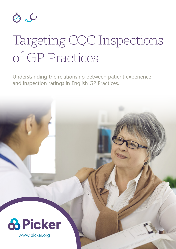

# Targeting CQC Inspections of GP Practices

Understanding the relationship between patient experience and inspection ratings in English GP Practices.

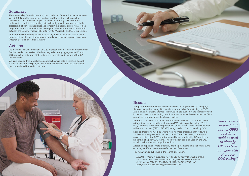## Results

Ten questions from the GPPS were matched to the responsive CQC category; six were mapped to caring. No questions were suitable for matching to CQC's *safe*, *well-led,* or *effective* themes. There was limited overlap in the themes covered in the two data sources, raising questions about whether the content of the GPPS provides a thorough understanding of quality.

Although there were some associations between the GPPS data and inspection ratings, there were limitations with using GPPS data to predict ratings. This is likely to be due to the high proportion of "Good" ratings in the inspection data, with most practices (72%, 974/1350) being rated as "Good" overall by CQC.

Decision trees using GPPS questions were no more predictive than following a rule of assuming every GP practice is rated "Good". However, our analysis revealed that a set of GPPS questions could be used to identify GP practices at higher risk of a poor CQC rating. This information could be used by the CQC to help decide where to target inspections.

Allocating inspections more efficiently has the potential to save significant sums of money and/or to make more effective use of resources.

This research was published in the journal [BMJ Open](https://bmjopen.bmj.com/content/10/11/e041709).

Although previous findings (Allen et al. 2020') indicate that GPPS data is not a good predictor of inspection ratings, we used an alternative approach to explore whether it could be used for targeting.

> *[1] Allen T, Walshe K, Proudlove N, et al. Using quality indicators to predict inspection ratings: cross-sectional study of general practices in England. Br J Gen Pract 2020;70:e55–63.doi:10.3399/bjgp19X707141pmid: http://www.ncbi.nlm.nih.gov/pubmed/31848199*

*"our analysis revealed that a set of GPPS questions could be used to identify GP practices at higher risk of a poor CQC rating."*

### Summary

The Care Quality Commission (CQC) has conducted General Practice inspections since 2013. Given the number of practices and the cost of each inspection however, it is not possible to inspect all practices annually. This means it is desirable to be able to use existing data to identify practices where there is the greatest risk of performance issues and to target inspections accordingly. To help target the GP practices to visit, we investigated whether there was a relationship between the General Practice Patient Survey (GPPS) results and CQC inspections.

### Actions

We matched the GPPS questions to CQC inspection themes based on stakeholder feedback and expert review. We then analysed existing aggregated GPPS and CQC inspection data from 2018; data sets were matched by date and the GP practice code.

We used decision tree modelling, an approach where data is classified through a series of decision-like splits, to look at how information from the GPPS could map to predicted inspection outcomes.